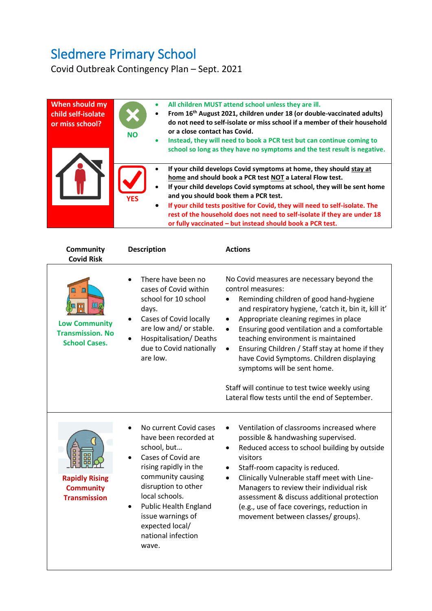## Sledmere Primary School

Covid Outbreak Contingency Plan – Sept. 2021

| When should my<br>child self-isolate<br>or miss school? | $\bullet$<br><b>NO</b><br>۰          | All children MUST attend school unless they are ill.<br>From 16 <sup>th</sup> August 2021, children under 18 (or double-vaccinated adults)<br>do not need to self-isolate or miss school if a member of their household<br>or a close contact has Covid.<br>Instead, they will need to book a PCR test but can continue coming to<br>school so long as they have no symptoms and the test result is negative.                                                             |
|---------------------------------------------------------|--------------------------------------|---------------------------------------------------------------------------------------------------------------------------------------------------------------------------------------------------------------------------------------------------------------------------------------------------------------------------------------------------------------------------------------------------------------------------------------------------------------------------|
|                                                         | $\bullet$<br><b>YES</b><br>$\bullet$ | If your child develops Covid symptoms at home, they should stay at<br>home and should book a PCR test NOT a Lateral Flow test.<br>If your child develops Covid symptoms at school, they will be sent home<br>and you should book them a PCR test.<br>If your child tests positive for Covid, they will need to self-isolate. The<br>rest of the household does not need to self-isolate if they are under 18<br>or fully vaccinated - but instead should book a PCR test. |

| <b>Community</b><br><b>Covid Risk</b>                                        | <b>Description</b>                                                                                                                                                                                                                                                                 | <b>Actions</b>                                                                                                                                                                                                                                                                                                                                                                                                                                                                                                                                                           |
|------------------------------------------------------------------------------|------------------------------------------------------------------------------------------------------------------------------------------------------------------------------------------------------------------------------------------------------------------------------------|--------------------------------------------------------------------------------------------------------------------------------------------------------------------------------------------------------------------------------------------------------------------------------------------------------------------------------------------------------------------------------------------------------------------------------------------------------------------------------------------------------------------------------------------------------------------------|
| Ш<br><b>Low Community</b><br><b>Transmission. No</b><br><b>School Cases.</b> | There have been no<br>cases of Covid within<br>school for 10 school<br>days.<br>Cases of Covid locally<br>are low and/ or stable.<br>Hospitalisation/Deaths<br>due to Covid nationally<br>are low.                                                                                 | No Covid measures are necessary beyond the<br>control measures:<br>Reminding children of good hand-hygiene<br>and respiratory hygiene, 'catch it, bin it, kill it'<br>Appropriate cleaning regimes in place<br>$\bullet$<br>Ensuring good ventilation and a comfortable<br>$\bullet$<br>teaching environment is maintained<br>Ensuring Children / Staff stay at home if they<br>$\bullet$<br>have Covid Symptoms. Children displaying<br>symptoms will be sent home.<br>Staff will continue to test twice weekly using<br>Lateral flow tests until the end of September. |
| <b>Rapidly Rising</b><br><b>Community</b><br><b>Transmission</b>             | No current Covid cases<br>have been recorded at<br>school, but<br>Cases of Covid are<br>rising rapidly in the<br>community causing<br>disruption to other<br>local schools.<br><b>Public Health England</b><br>issue warnings of<br>expected local/<br>national infection<br>wave. | Ventilation of classrooms increased where<br>possible & handwashing supervised.<br>Reduced access to school building by outside<br>$\bullet$<br>visitors<br>Staff-room capacity is reduced.<br>Clinically Vulnerable staff meet with Line-<br>$\bullet$<br>Managers to review their individual risk<br>assessment & discuss additional protection<br>(e.g., use of face coverings, reduction in<br>movement between classes/ groups).                                                                                                                                    |